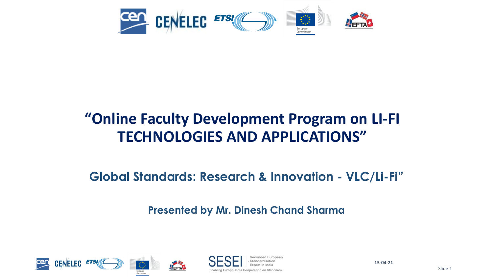

#### **"Online Faculty Development Program on LI-FI TECHNOLOGIES AND APPLICATIONS"**

**Global Standards: Research & Innovation - VLC/Li-Fi"** 

**Presented by Mr. Dinesh Chand Sharma** 



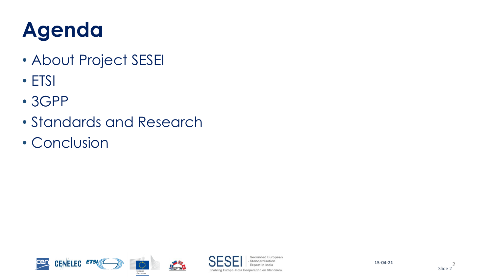## **Agenda**

- About Project SESEI
- ETSI
- 3GPP
- Standards and Research
- Conclusion





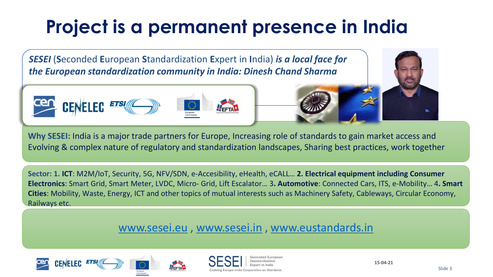## **Project is a permanent presence in India**

*SESEI* (**S**econded **E**uropean **S**tandardization **E**xpert in **I**ndia) *is a local face for the European standardization community in India: Dinesh Chand Sharma*



**Why SESEI:** India is a major trade partners for Europe, Increasing role of standards to gain market access and Evolving & complex nature of regulatory and standardization landscapes, Sharing best practices, work together

**Sector: 1. ICT**: M2M/IoT, Security, 5G, NFV/SDN, e-Accesibility, eHealth, eCALL… **2. Electrical equipment including Consumer Electronics**: Smart Grid, Smart Meter, LVDC, Micro- Grid, Lift Escalator… 3**. Automotive**: Connected Cars, ITS, e-Mobility… 4**. Smart Cities**: Mobility, Waste, Energy, ICT and other topics of mutual interests such as Machinery Safety, Cableways, Circular Economy, Railways etc.

#### [www.sesei.eu](http://www.sesei.eu/) , [www.sesei.in](http://www.sesei.in/) , [www.eustandards.in](http://www.eustandards.in/)







**15-04-21**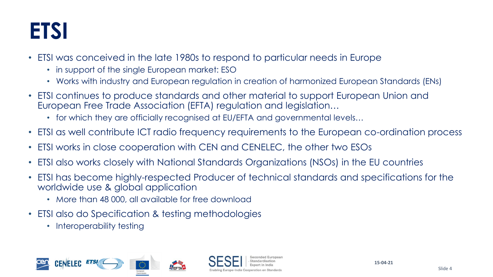## **ETSI**

- ETSI was conceived in the late 1980s to respond to particular needs in Europe
	- in support of the single European market: ESO
	- Works with industry and European regulation in creation of harmonized European Standards (ENs)
- ETSI continues to produce standards and other material to support European Union and European Free Trade Association (EFTA) regulation and legislation…
	- for which they are officially recognised at EU/EFTA and governmental levels...
- ETSI as well contribute ICT radio frequency requirements to the European co-ordination process
- ETSI works in close cooperation with CEN and CENELEC, the other two ESOs
- ETSI also works closely with National Standards Organizations (NSOs) in the EU countries
- ETSI has become highly-respected Producer of technical standards and specifications for the worldwide use & global application
	- More than 48 000, all available for free download
- ETSI also do Specification & testing methodologies
	- Interoperability testing

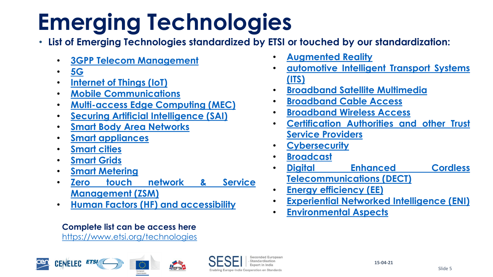# **Emerging Technologies**

- **List of Emerging Technologies standardized by ETSI or touched by our standardization:**
	- **3GPP Telecom [Management](https://www.etsi.org/technologies/3gpp-telecom-management)**
	- **[5G](https://www.etsi.org/technologies/5g)**
	- **[Internet](https://www.etsi.org/technologies/internet-of-things) of Things (IoT)**
	- **Mobile [Communications](https://www.etsi.org/technologies/mobile)**
	- **[Multi-access](https://www.etsi.org/technologies/multi-access-edge-computing) Edge Computing (MEC)**
	- **Securing Artificial [Intelligence](https://www.etsi.org/technologies/securing-artificial-intelligence) (SAI)**
	- **Smart Body Area [Networks](https://www.etsi.org/technologies/smart-body-area-networks)**
	- **Smart [appliances](https://www.etsi.org/technologies/smart-appliances)**
	- **[Smart](https://www.etsi.org/technologies/smart-cities) cities**
	- **[Smart](https://www.etsi.org/technologies/smart-grids) Grids**
	- **Smart [Metering](https://www.etsi.org/technologies/smart-metering)**
	- **Zero touch network & Service [Management](https://www.etsi.org/technologies/zero-touch-network-service-management) (ZSM)**
	- **Human Factors (HF) and [accessibility](https://www.etsi.org/technologies/human-factors-accessibility)**

#### **Complete list can be access here**

<https://www.etsi.org/technologies>





- **[Augmented](https://www.etsi.org/technologies/augmented-reality) Reality**
- **[automotive](https://www.etsi.org/technologies/automotive-intelligent-transport) Intelligent Transport Systems (ITS)**
- **[Broadband](https://www.etsi.org/technologies/bsm) Satellite Multimedia**
- **[Broadband](https://www.etsi.org/technologies/broadband-cable-access) Cable Access**
- **[Broadband](https://www.etsi.org/technologies/broadband-wireless-access) Wireless Access**
- **[Certification](https://www.etsi.org/technologies/certification-authorities-and-other-trust-service-providers) Authorities and other Trust Service Providers**
- **[Cybersecurity](https://www.etsi.org/technologies/cyber-security)**
- **[Broadcast](https://www.etsi.org/technologies/broadcast)**
- **Digital Enhanced Cordless [Telecommunications](https://www.etsi.org/technologies/dect) (DECT)**
- **Energy [efficiency](https://www.etsi.org/technologies/energy-efficiency) (EE)**
- **Experiential Networked [Intelligence](https://www.etsi.org/technologies/experiential-networked-intelligence) (ENI)**
- **[Environmental](https://www.etsi.org/technologies/environmental-aspects) Aspects**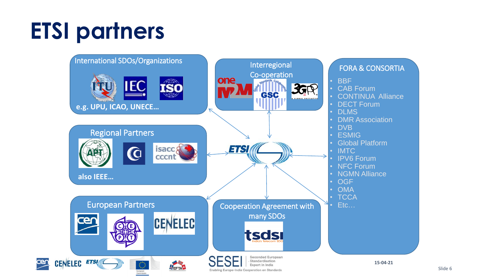# **ETSI partners**

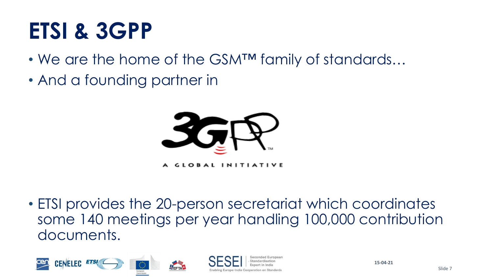## **ETSI & 3GPP**

- We are the home of the GSMTM family of standards...
- And a founding partner in



**GLOBAL INITIATIVE** 

• ETSI provides the 20-person secretariat which coordinates some 140 meetings per year handling 100,000 contribution documents.



Slide 7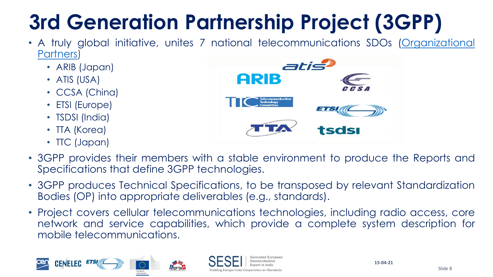## **3rd Generation Partnership Project (3GPP)**

- A truly global initiative, unites 7 national [telecommunications](https://www.3gpp.org/Partners) SDOs (Organizational Partners)
	- ARIB (Japan)
	- ATIS (USA)
	- CCSA (China)
	- ETSI (Europe)
	- TSDSI (India)
	- TTA (Korea)
	- TTC (Japan)



- 3GPP provides their members with a stable environment to produce the Reports and Specifications that define 3GPP technologies.
- 3GPP produces Technical Specifications, to be transposed by relevant Standardization Bodies (OP) into appropriate deliverables (e.g., standards).
- Project covers cellular telecommunications technologies, including radio access, core network and service capabilities, which provide a complete system description for mobile telecommunications.





**15-04-21**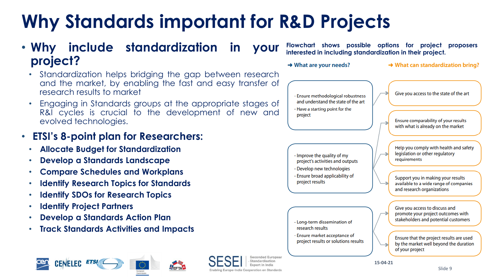### **Why Standards important for R&D Projects**

#### • **Why include standardization in your project?**

- Standardization helps bridging the gap between research and the market, by enabling the fast and easy transfer of research results to market
- Engaging in Standards groups at the appropriate stages of R&I cycles is crucial to the development of new and evolved technologies.

#### • **ETSI's 8-point plan for Researchers:**

- **Allocate Budget for Standardization**
- **Develop a Standards Landscape**
- **Compare Schedules and Workplans**
- **Identify Research Topics for Standards**
- **Identify SDOs for Research Topics**
- **Identify Project Partners**
- **Develop a Standards Action Plan**
- **Track Standards Activities and Impacts**





Seconded Europear Standardication Enabling Europe-India Cooperation on Standards

**Flowchart shows possible options for project proposers interested in including standardization in their project.**

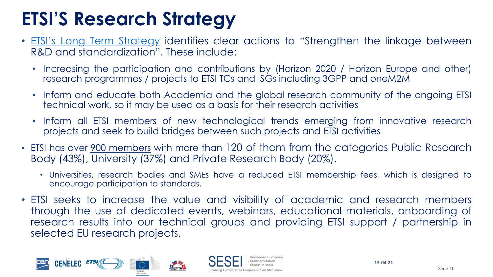### **ETSI'S Research Strategy**

- **ETSI's Long Term [Strategy](https://www.etsi.org/e-brochure/long-term-strategy/mobile/index.html)** identifies clear actions to "Strengthen the linkage between R&D and standardization". These include:
	- Increasing the participation and contributions by (Horizon 2020 / Horizon Europe and other) research programmes / projects to ETSI TCs and ISGs including 3GPP and oneM2M
	- Inform and educate both Academia and the global research community of the ongoing ETSI technical work, so it may be used as a basis for their research activities
	- Inform all ETSI members of new technological trends emerging from innovative research projects and seek to build bridges between such projects and ETSI activities
- ETSI has over <u>900 [members](https://www.etsi.org/membership)</u> with more than 120 of them from the categories Public Research Body (43%), University (37%) and Private Research Body (20%).
	- Universities, research bodies and SMEs have a reduced ETSI membership fees, which is designed to encourage participation to standards.
- ETSI seeks to increase the value and visibility of academic and research members through the use of dedicated events, webinars, educational materials, onboarding of research results into our technical groups and providing ETSI support / partnership in selected EU research projects.

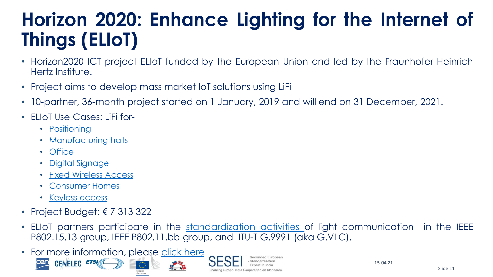### **Horizon 2020: Enhance Lighting for the Internet of Things (ELIoT)**

- Horizon2020 ICT project ELIoT funded by the European Union and led by the Fraunhofer Heinrich Hertz Institute.
- Project aims to develop mass market IoT solutions using LiFi
- 10-partner, 36-month project started on 1 January, 2019 and will end on 31 December, 2021.
- ELIoT Use Cases: LiFi for-
	- [Positioning](https://www.eliot-h2020.eu/industry-positioning/)
	- [Manufacturing](https://www.eliot-h2020.eu/industry/) halls
	- [Office](https://www.eliot-h2020.eu/office/)
	- Digital [Signage](https://www.eliot-h2020.eu/digital-life-signage/)
	- Fixed [Wireless](https://www.eliot-h2020.eu/fixed-wireless-access/) Access
	- [Consumer](https://www.eliot-h2020.eu/consumer/) Homes
	- [Keyless](https://www.eliot-h2020.eu/consumer-2/) access
- Project Budget:  $\epsilon$  7 313 322
- ELIoT partners participate in the [standardization](https://www.eliot-h2020.eu/activities/standardization-activities/) activities of light communication in the IEEE P802.15.13 group, IEEE P802.11.bb group, and ITU-T G.9991 (aka G.VLC).
- For more information, please [click](https://www.eliot-h2020.eu/) here **CENELEC ETSI**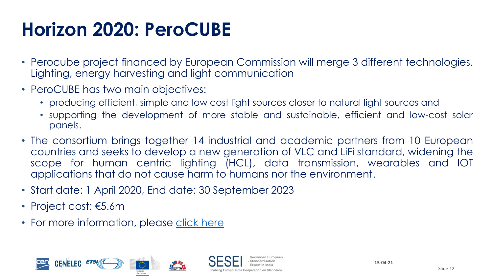### **Horizon 2020: PeroCUBE**

- Perocube project financed by European Commission will merge 3 different technologies. Lighting, energy harvesting and light communication
- PeroCUBE has two main objectives:
	- producing efficient, simple and low cost light sources closer to natural light sources and
	- supporting the development of more stable and sustainable, efficient and low-cost solar panels.
- The consortium brings together 14 industrial and academic partners from 10 European countries and seeks to develop a new generation of VLC and LiFi standard, widening the scope for human centric lighting (HCL), data transmission, wearables and IOT applications that do not cause harm to humans nor the environment.
- Start date: 1 April 2020, End date: 30 September 2023
- Project cost: €5.6m
- For more information, please click [here](https://perocube.eu/)



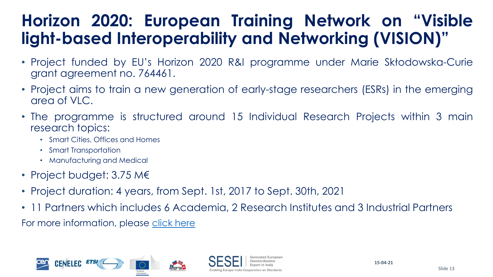#### **Horizon 2020: European Training Network on "Visible light-based Interoperability and Networking (VISION)"**

- Project funded by EU's Horizon 2020 R&I programme under Marie Skłodowska-Curie grant agreement no. 764461.
- Project aims to train a new generation of early-stage researchers (ESRs) in the emerging area of VLC.
- The programme is structured around 15 Individual Research Projects within 3 main research topics:
	- Smart Cities, Offices and Homes
	- Smart Transportation
	- Manufacturing and Medical
- Project budget: 3.75 M€
- Project duration: 4 years, from Sept. 1st, 2017 to Sept. 30th, 2021
- 11 Partners which includes 6 Academia, 2 Research Institutes and 3 Industrial Partners

For more information, please [click here](https://www.vision-itn.eu/project/#:~:text=Objectives&text=VLC%20offers%20significant%20technical%20and,wide%20range%20of%20application%20areas.&text=The%20proposed%20%E2%80%9CEuropean%20Training%20Network,the%20emerging%20area%20of%20VLC.)

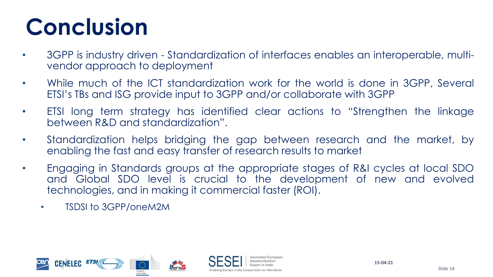# **Conclusion**

- 3GPP is industry driven Standardization of interfaces enables an interoperable, multivendor approach to deployment
- While much of the ICT standardization work for the world is done in 3GPP, Several ETSI's TBs and ISG provide input to 3GPP and/or collaborate with 3GPP
- ETSI long term strategy has identified clear actions to "Strengthen the linkage between R&D and standardization".
- Standardization helps bridging the gap between research and the market, by enabling the fast and easy transfer of research results to market
- Engaging in Standards groups at the appropriate stages of R&I cycles at local SDO and Global SDO level is crucial to the development of new and evolved technologies, and in making it commercial faster (ROI).
	- TSDSI to 3GPP/oneM2M